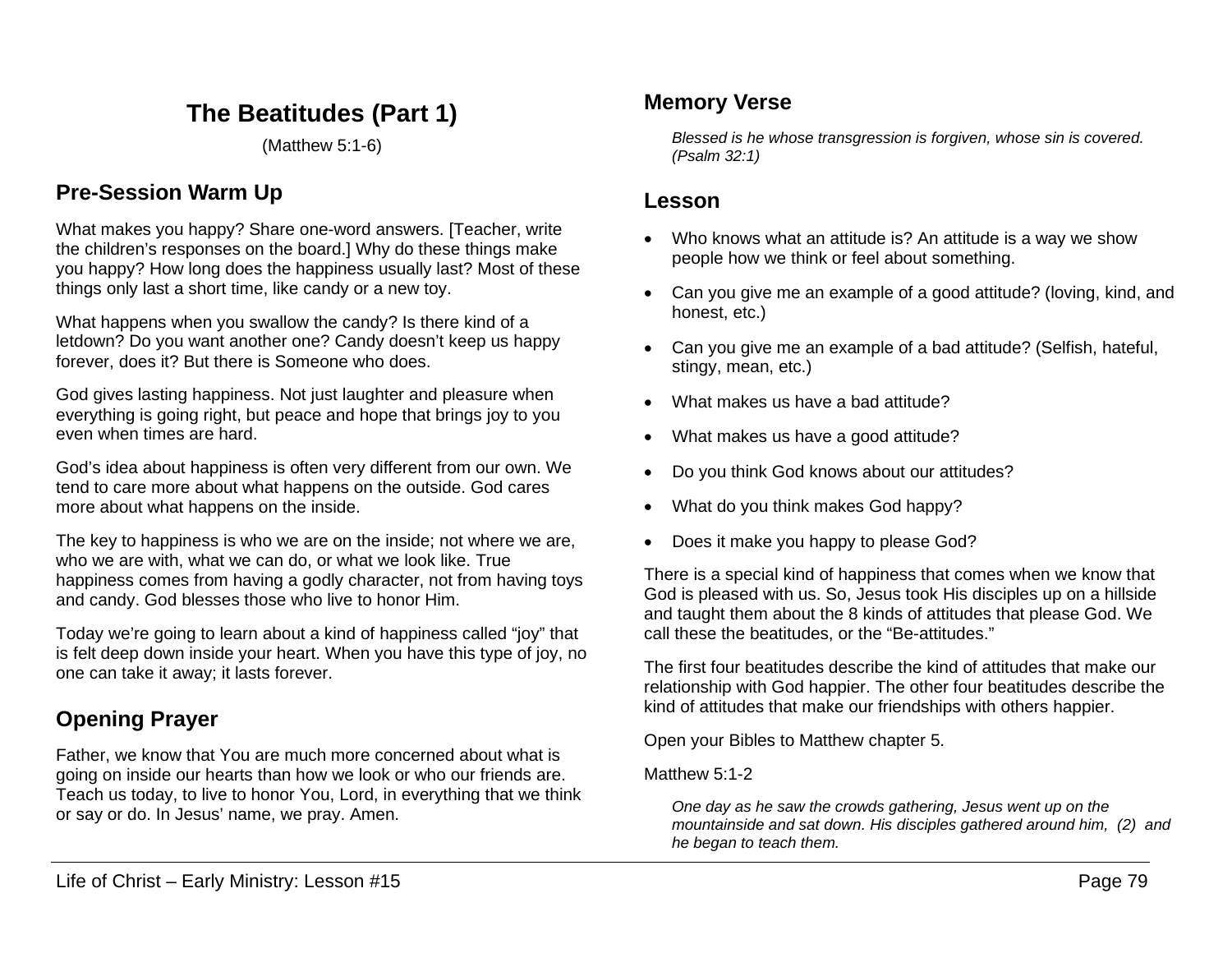# **The Beatitudes (Part 1)**

(Matthew 5:1-6)

## **Pre-Session Warm Up**

What makes you happy? Share one-word answers. [Teacher, write the children's responses on the board.] Why do these things make you happy? How long does the happiness usually last? Most of these things only last a short time, like candy or a new toy.

What happens when you swallow the candy? Is there kind of a letdown? Do you want another one? Candy doesn't keep us happy forever, does it? But there is Someone who does.

God gives lasting happiness. Not just laughter and pleasure when everything is going right, but peace and hope that brings joy to you even when times are hard.

God's idea about happiness is often very different from our own. We tend to care more about what happens on the outside. God cares more about what happens on the inside.

The key to happiness is who we are on the inside; not where we are, who we are with, what we can do, or what we look like. True happiness comes from having a godly character, not from having toys and candy. God blesses those who live to honor Him.

Today we're going to learn about a kind of happiness called "joy" that is felt deep down inside your heart. When you have this type of joy, no one can take it away; it lasts forever.

## **Opening Prayer**

Father, we know that You are much more concerned about what is going on inside our hearts than how we look or who our friends are. Teach us today, to live to honor You, Lord, in everything that we think or say or do. In Jesus' name, we pray. Amen.

## **Memory Verse**

*Blessed is he whose transgression is forgiven, whose sin is covered. (Psalm 32:1)*

### **Lesson**

- Who knows what an attitude is? An attitude is a way we show people how we think or feel about something.
- Can you give me an example of a good attitude? (loving, kind, and honest, etc.)
- Can you give me an example of a bad attitude? (Selfish, hateful, stingy, mean, etc.)
- What makes us have a bad attitude?
- What makes us have a good attitude?
- Do you think God knows about our attitudes?
- What do you think makes God happy?
- Does it make you happy to please God?

There is a special kind of happiness that comes when we know that God is pleased with us. So, Jesus took His disciples up on a hillside and taught them about the 8 kinds of attitudes that please God. We call these the beatitudes, or the "Be-attitudes."

The first four beatitudes describe the kind of attitudes that make our relationship with God happier. The other four beatitudes describe the kind of attitudes that make our friendships with others happier.

Open your Bibles to Matthew chapter 5.

Matthew 5:1-2

*One day as he saw the crowds gathering, Jesus went up on the mountainside and sat down. His disciples gathered around him, (2) and he began to teach them.*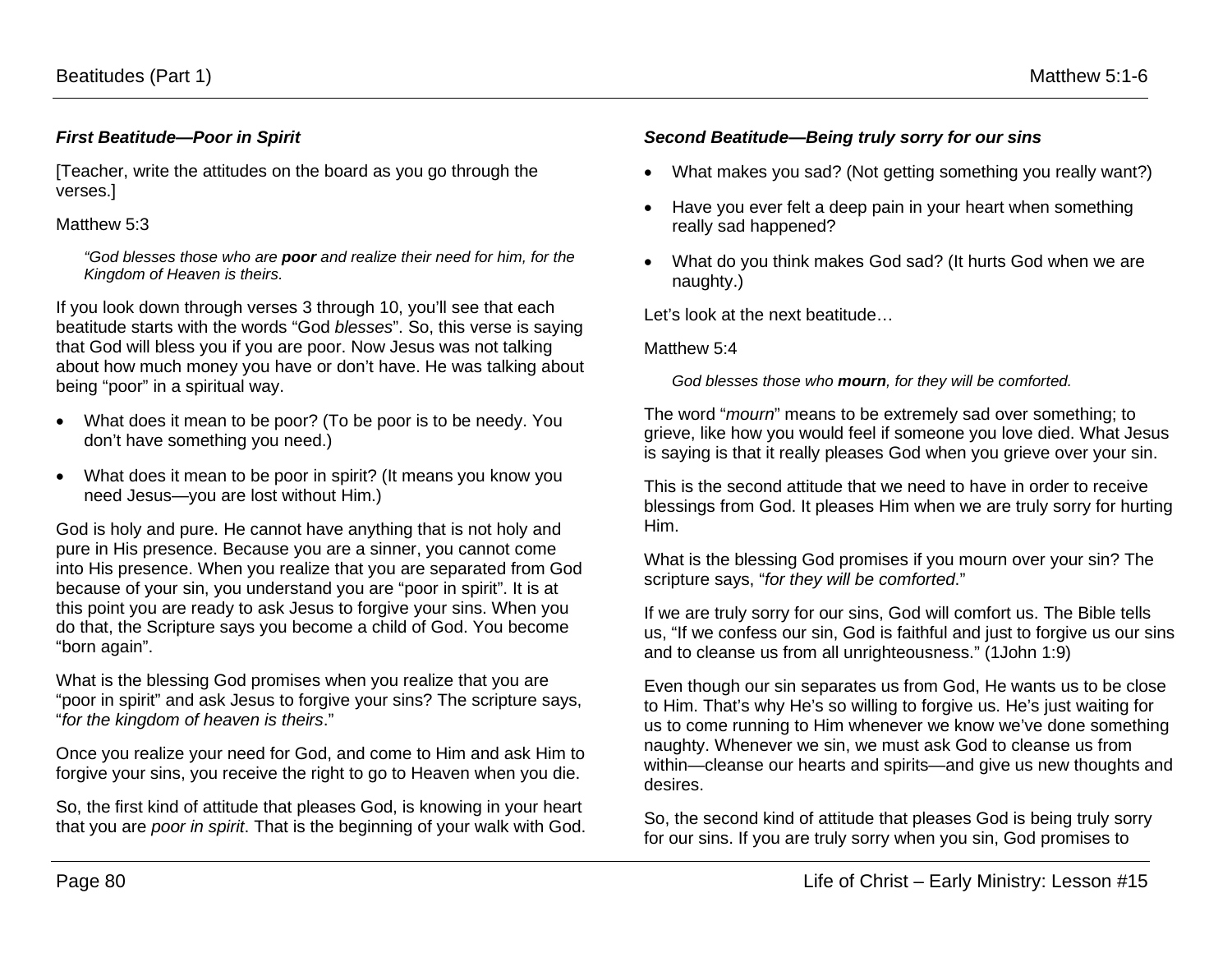#### *First Beatitude—Poor in Spirit*

[Teacher, write the attitudes on the board as you go through the verses.]

#### Matthew 5:3

*"God blesses those who are poor and realize their need for him, for the Kingdom of Heaven is theirs.* 

If you look down through verses 3 through 10, you'll see that each beatitude starts with the words "God *blesses*". So, this verse is saying that God will bless you if you are poor. Now Jesus was not talking about how much money you have or don't have. He was talking about being "poor" in a spiritual way.

- What does it mean to be poor? (To be poor is to be needy. You don't have something you need.)
- What does it mean to be poor in spirit? (It means you know you need Jesus—you are lost without Him.)

God is holy and pure. He cannot have anything that is not holy and pure in His presence. Because you are a sinner, you cannot come into His presence. When you realize that you are separated from God because of your sin, you understand you are "poor in spirit". It is at this point you are ready to ask Jesus to forgive your sins. When you do that, the Scripture says you become a child of God. You become "born again".

What is the blessing God promises when you realize that you are "poor in spirit" and ask Jesus to forgive your sins? The scripture says, "*for the kingdom of heaven is theirs*."

Once you realize your need for God, and come to Him and ask Him to forgive your sins, you receive the right to go to Heaven when you die.

So, the first kind of attitude that pleases God, is knowing in your heart that you are *poor in spirit*. That is the beginning of your walk with God.

#### *Second Beatitude—Being truly sorry for our sins*

- What makes you sad? (Not getting something you really want?)
- Have you ever felt a deep pain in your heart when something really sad happened?
- What do you think makes God sad? (It hurts God when we are naughty.)

Let's look at the next beatitude…

#### Matthew 5:4

*God blesses those who mourn, for they will be comforted.*

The word "*mourn*" means to be extremely sad over something; to grieve, like how you would feel if someone you love died. What Jesus is saying is that it really pleases God when you grieve over your sin.

This is the second attitude that we need to have in order to receive blessings from God. It pleases Him when we are truly sorry for hurting Him.

What is the blessing God promises if you mourn over your sin? The scripture says, "*for they will be comforted*."

If we are truly sorry for our sins, God will comfort us. The Bible tells us, "If we confess our sin, God is faithful and just to forgive us our sins and to cleanse us from all unrighteousness." (1John 1:9)

Even though our sin separates us from God, He wants us to be close to Him. That's why He's so willing to forgive us. He's just waiting for us to come running to Him whenever we know we've done something naughty. Whenever we sin, we must ask God to cleanse us from within—cleanse our hearts and spirits—and give us new thoughts and desires.

So, the second kind of attitude that pleases God is being truly sorry for our sins. If you are truly sorry when you sin, God promises to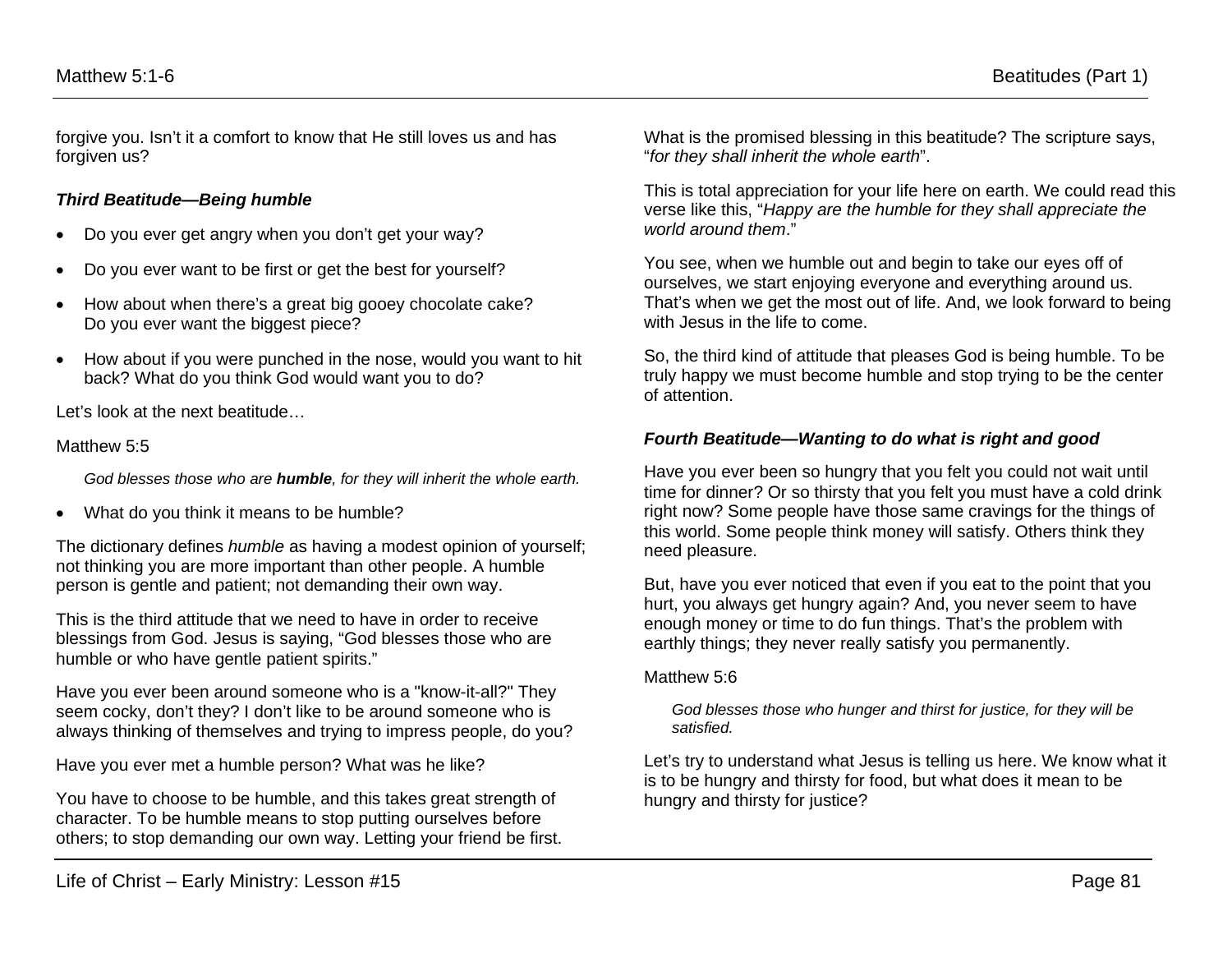forgive you. Isn't it a comfort to know that He still loves us and has forgiven us?

#### *Third Beatitude—Being humble*

- Do you ever get angry when you don't get your way?
- Do you ever want to be first or get the best for yourself?
- How about when there's a great big gooey chocolate cake? Do you ever want the biggest piece?
- How about if you were punched in the nose, would you want to hit back? What do you think God would want you to do?

Let's look at the next beatitude…

#### Matthew 5:5

*God blesses those who are humble, for they will inherit the whole earth.*

• What do you think it means to be humble?

The dictionary defines *humble* as having a modest opinion of yourself; not thinking you are more important than other people. A humble person is gentle and patient; not demanding their own way.

This is the third attitude that we need to have in order to receive blessings from God. Jesus is saying, "God blesses those who are humble or who have gentle patient spirits."

Have you ever been around someone who is a "know-it-all?" They seem cocky, don't they? I don't like to be around someone who is always thinking of themselves and trying to impress people, do you?

Have you ever met a humble person? What was he like?

You have to choose to be humble, and this takes great strength of character. To be humble means to stop putting ourselves before others; to stop demanding our own way. Letting your friend be first. What is the promised blessing in this beatitude? The scripture says, "*for they shall inherit the whole earth*".

This is total appreciation for your life here on earth. We could read this verse like this, "*Happy are the humble for they shall appreciate the world around them*."

You see, when we humble out and begin to take our eyes off of ourselves, we start enjoying everyone and everything around us. That's when we get the most out of life. And, we look forward to being with Jesus in the life to come.

So, the third kind of attitude that pleases God is being humble. To be truly happy we must become humble and stop trying to be the center of attention.

#### *Fourth Beatitude—Wanting to do what is right and good*

Have you ever been so hungry that you felt you could not wait until time for dinner? Or so thirsty that you felt you must have a cold drink right now? Some people have those same cravings for the things of this world. Some people think money will satisfy. Others think they need pleasure.

But, have you ever noticed that even if you eat to the point that you hurt, you always get hungry again? And, you never seem to have enough money or time to do fun things. That's the problem with earthly things; they never really satisfy you permanently.

#### Matthew 5:6

*God blesses those who hunger and thirst for justice, for they will be satisfied.*

Let's try to understand what Jesus is telling us here. We know what it is to be hungry and thirsty for food, but what does it mean to be hungry and thirsty for justice?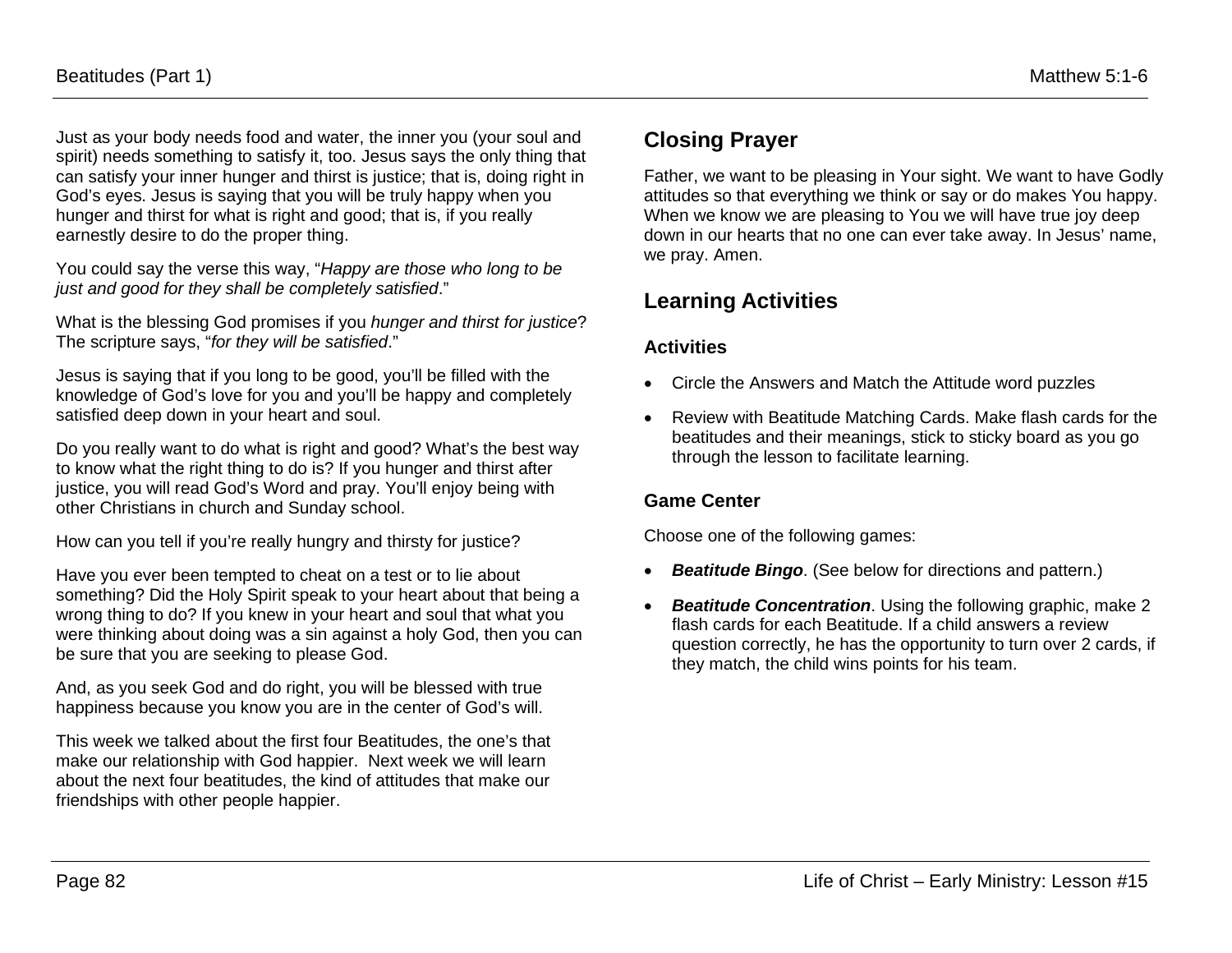Just as your body needs food and water, the inner you (your soul and spirit) needs something to satisfy it, too. Jesus says the only thing that can satisfy your inner hunger and thirst is justice; that is, doing right in God's eyes. Jesus is saying that you will be truly happy when you hunger and thirst for what is right and good; that is, if you really earnestly desire to do the proper thing.

You could say the verse this way, "*Happy are those who long to be just and good for they shall be completely satisfied*."

What is the blessing God promises if you *hunger and thirst for justice*? The scripture says, "*for they will be satisfied*."

Jesus is saying that if you long to be good, you'll be filled with the knowledge of God's love for you and you'll be happy and completely satisfied deep down in your heart and soul.

Do you really want to do what is right and good? What's the best way to know what the right thing to do is? If you hunger and thirst after justice, you will read God's Word and pray. You'll enjoy being with other Christians in church and Sunday school.

How can you tell if you're really hungry and thirsty for justice?

Have you ever been tempted to cheat on a test or to lie about something? Did the Holy Spirit speak to your heart about that being a wrong thing to do? If you knew in your heart and soul that what you were thinking about doing was a sin against a holy God, then you can be sure that you are seeking to please God.

And, as you seek God and do right, you will be blessed with true happiness because you know you are in the center of God's will.

This week we talked about the first four Beatitudes, the one's that make our relationship with God happier. Next week we will learn about the next four beatitudes, the kind of attitudes that make our friendships with other people happier.

## **Closing Prayer**

Father, we want to be pleasing in Your sight. We want to have Godly attitudes so that everything we think or say or do makes You happy. When we know we are pleasing to You we will have true joy deep down in our hearts that no one can ever take away. In Jesus' name, we pray. Amen.

## **Learning Activities**

### **Activities**

- Circle the Answers and Match the Attitude word puzzles
- Review with Beatitude Matching Cards. Make flash cards for the beatitudes and their meanings, stick to sticky board as you go through the lesson to facilitate learning.

### **Game Center**

Choose one of the following games:

- *Beatitude Bingo*. (See below for directions and pattern.)
- *Beatitude Concentration*. Using the following graphic, make 2 flash cards for each Beatitude. If a child answers a review question correctly, he has the opportunity to turn over 2 cards, if they match, the child wins points for his team.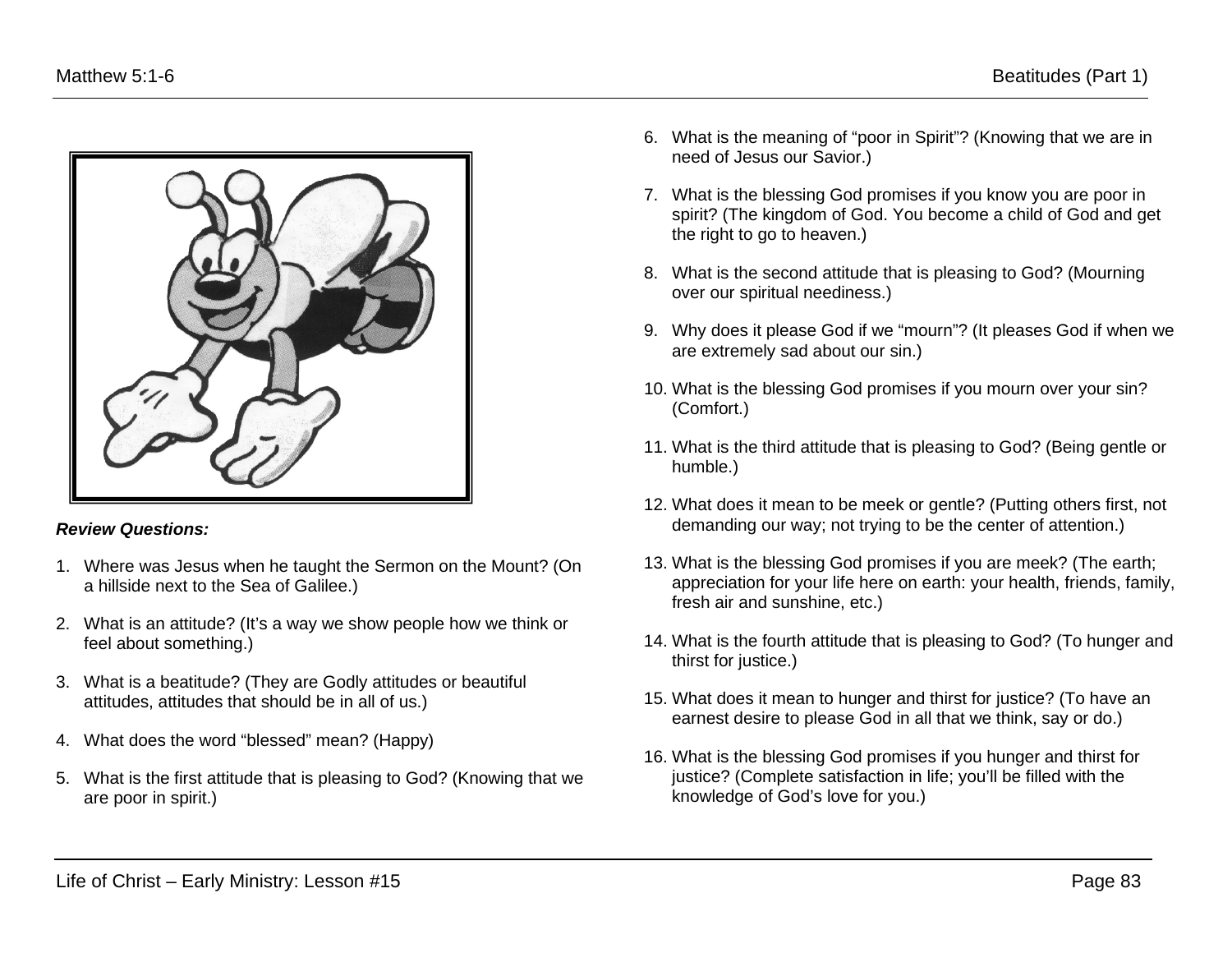

#### *Review Questions:*

- 1. Where was Jesus when he taught the Sermon on the Mount? (On a hillside next to the Sea of Galilee.)
- 2. What is an attitude? (It's a way we show people how we think or feel about something.)
- 3. What is a beatitude? (They are Godly attitudes or beautiful attitudes, attitudes that should be in all of us.)
- 4. What does the word "blessed" mean? (Happy)
- 5. What is the first attitude that is pleasing to God? (Knowing that we are poor in spirit.)
- 6. What is the meaning of "poor in Spirit"? (Knowing that we are in need of Jesus our Savior.)
- 7. What is the blessing God promises if you know you are poor in spirit? (The kingdom of God. You become a child of God and get the right to go to heaven.)
- 8. What is the second attitude that is pleasing to God? (Mourning over our spiritual neediness.)
- 9. Why does it please God if we "mourn"? (It pleases God if when we are extremely sad about our sin.)
- 10. What is the blessing God promises if you mourn over your sin? (Comfort.)
- 11. What is the third attitude that is pleasing to God? (Being gentle or humble.)
- 12. What does it mean to be meek or gentle? (Putting others first, not demanding our way; not trying to be the center of attention.)
- 13. What is the blessing God promises if you are meek? (The earth; appreciation for your life here on earth: your health, friends, family, fresh air and sunshine, etc.)
- 14. What is the fourth attitude that is pleasing to God? (To hunger and thirst for justice.)
- 15. What does it mean to hunger and thirst for justice? (To have an earnest desire to please God in all that we think, say or do.)
- 16. What is the blessing God promises if you hunger and thirst for justice? (Complete satisfaction in life; you'll be filled with the knowledge of God's love for you.)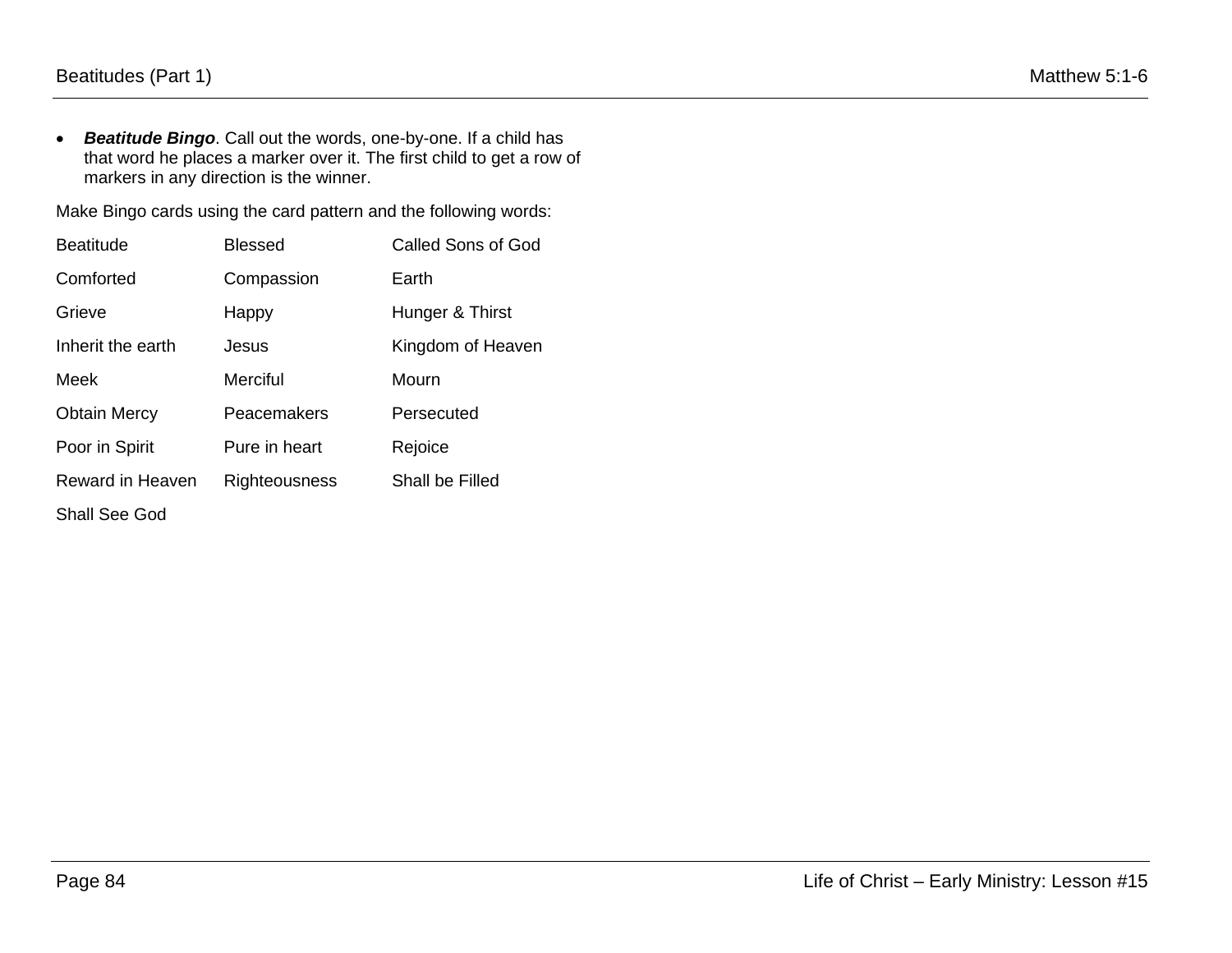• *Beatitude Bingo*. Call out the words, one-by-one. If a child has that word he places a marker over it. The first child to get a row of markers in any direction is the winner.

Make Bingo cards using the card pattern and the following words:

| <b>Beatitude</b>    | <b>Blessed</b> | <b>Called Sons of God</b> |
|---------------------|----------------|---------------------------|
| Comforted           | Compassion     | Earth                     |
| Grieve              | Happy          | Hunger & Thirst           |
| Inherit the earth   | Jesus          | Kingdom of Heaven         |
| Meek                | Merciful       | Mourn                     |
| <b>Obtain Mercy</b> | Peacemakers    | Persecuted                |
| Poor in Spirit      | Pure in heart  | Rejoice                   |
| Reward in Heaven    | Righteousness  | Shall be Filled           |
| Shall See God       |                |                           |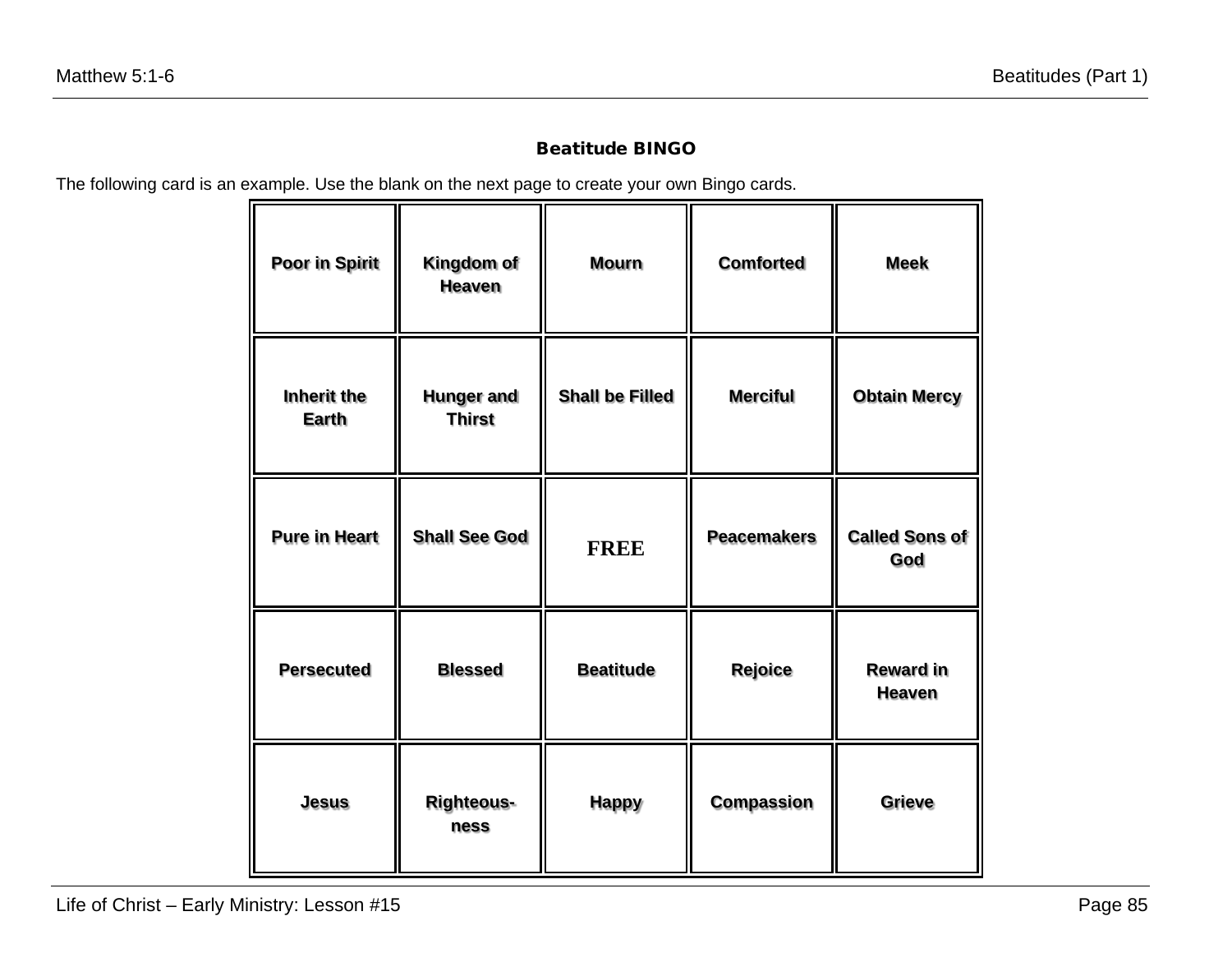### Beatitude BINGO

The following card is an example. Use the blank on the next page to create your own Bingo cards.

| Poor in Spirit              | Kingdom of<br><b>Heaven</b>        | <b>Mourn</b>           | <b>Comforted</b>   | <b>Meek</b>                       |
|-----------------------------|------------------------------------|------------------------|--------------------|-----------------------------------|
| Inherit the<br><b>Earth</b> | <b>Hunger and</b><br><b>Thirst</b> | <b>Shall be Filled</b> | <b>Merciful</b>    | <b>Obtain Mercy</b>               |
| <b>Pure in Heart</b>        | <b>Shall See God</b>               | <b>FREE</b>            | <b>Peacemakers</b> | <b>Called Sons of</b><br>God      |
| <b>Persecuted</b>           | <b>Blessed</b>                     | <b>Beatitude</b>       | Rejoice            | <b>Reward in</b><br><b>Heaven</b> |
| <b>Jesus</b>                | <b>Righteous-</b><br>ness          | <b>Happy</b>           | <b>Compassion</b>  | Grieve                            |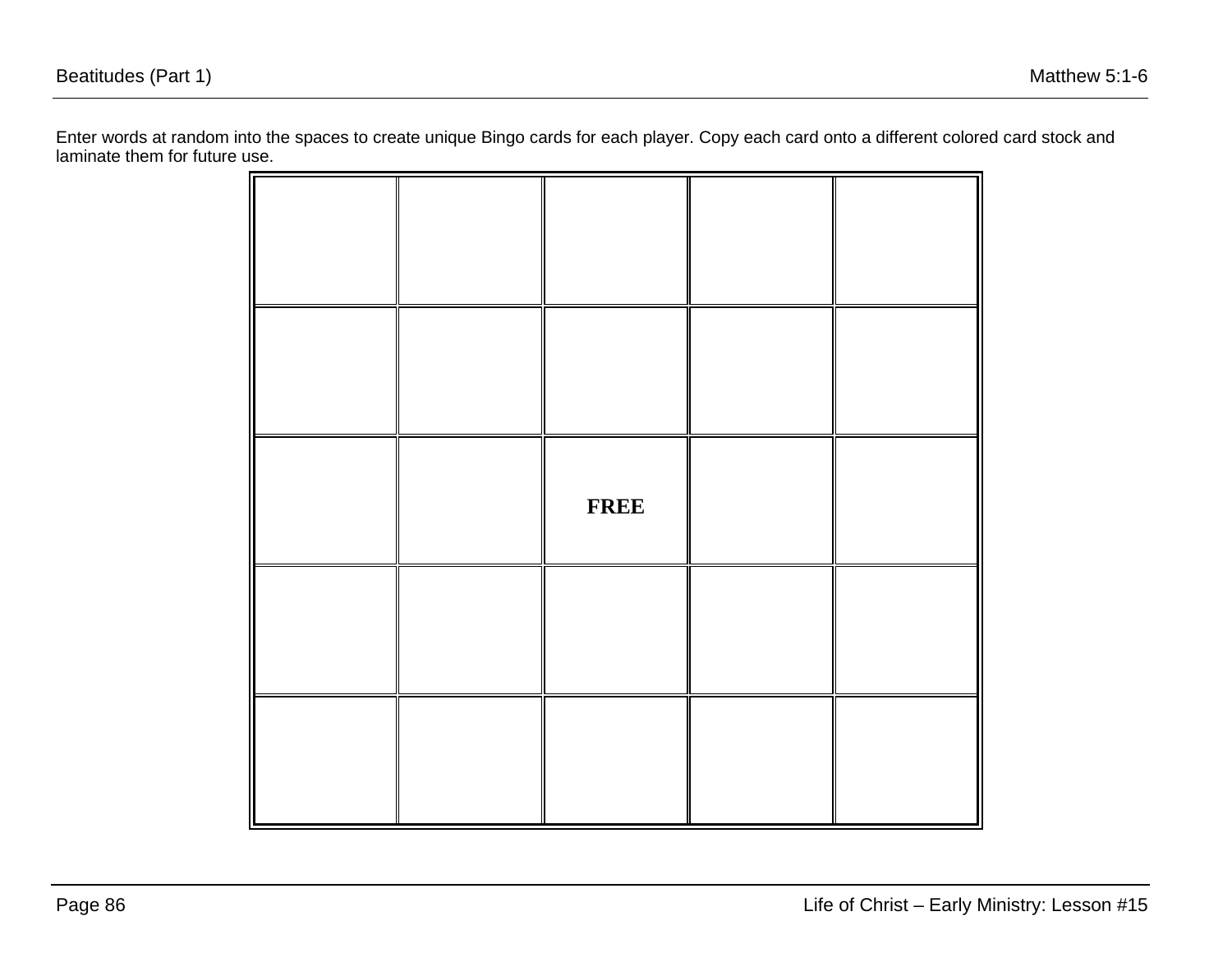Enter words at random into the spaces to create unique Bingo cards for each player. Copy each card onto a different colored card stock and laminate them for future use.

|  | <b>FREE</b> |  |
|--|-------------|--|
|  |             |  |
|  |             |  |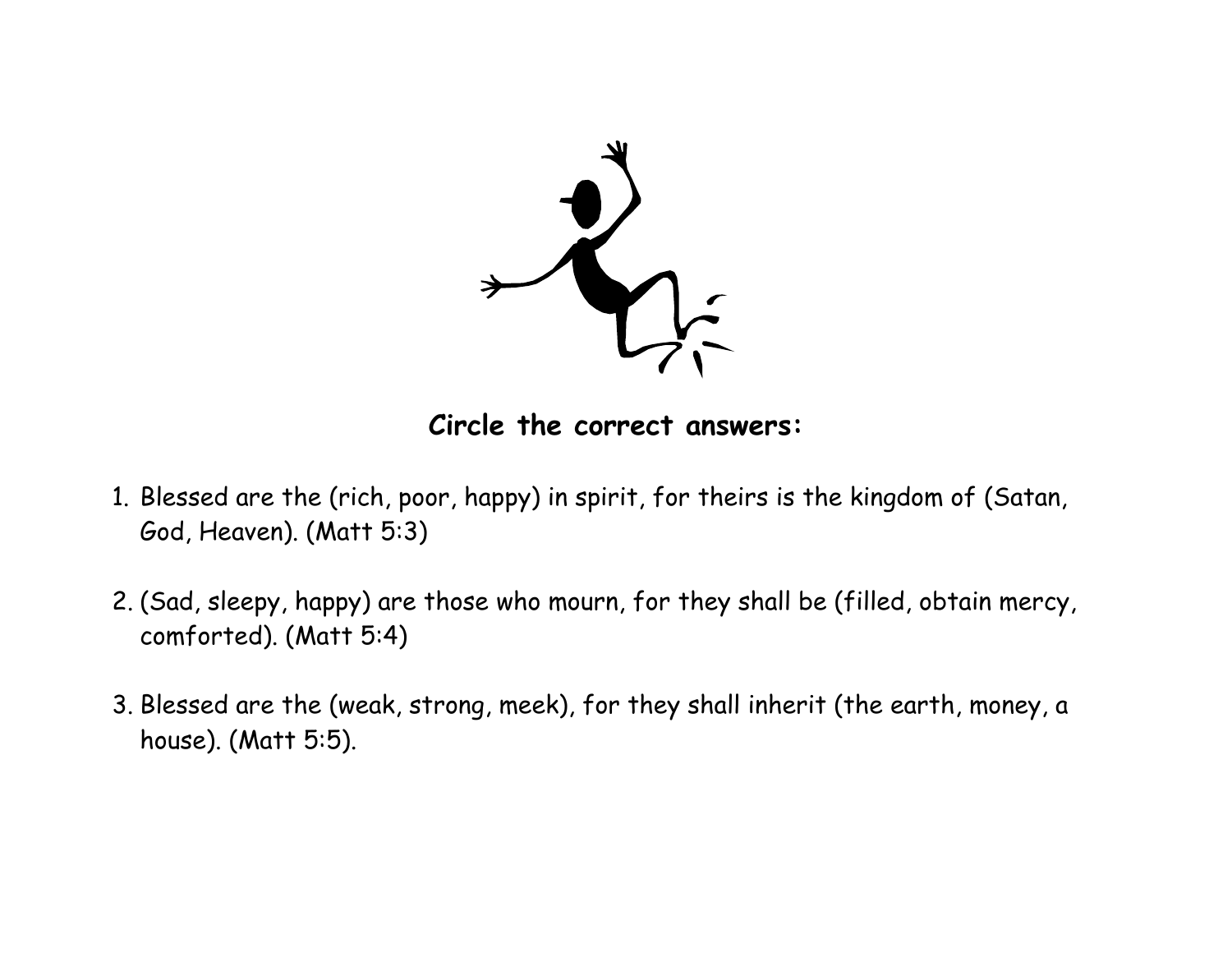

**Circle the correct answers:**

- 1. Blessed are the (rich, poor, happy) in spirit, for theirs is the kingdom of (Satan, God, Heaven). (Matt 5:3)
- 2. (Sad, sleepy, happy) are those who mourn, for they shall be (filled, obtain mercy, comforted). (Matt 5:4)
- 3. Blessed are the (weak, strong, meek), for they shall inherit (the earth, money, a house). (Matt 5:5).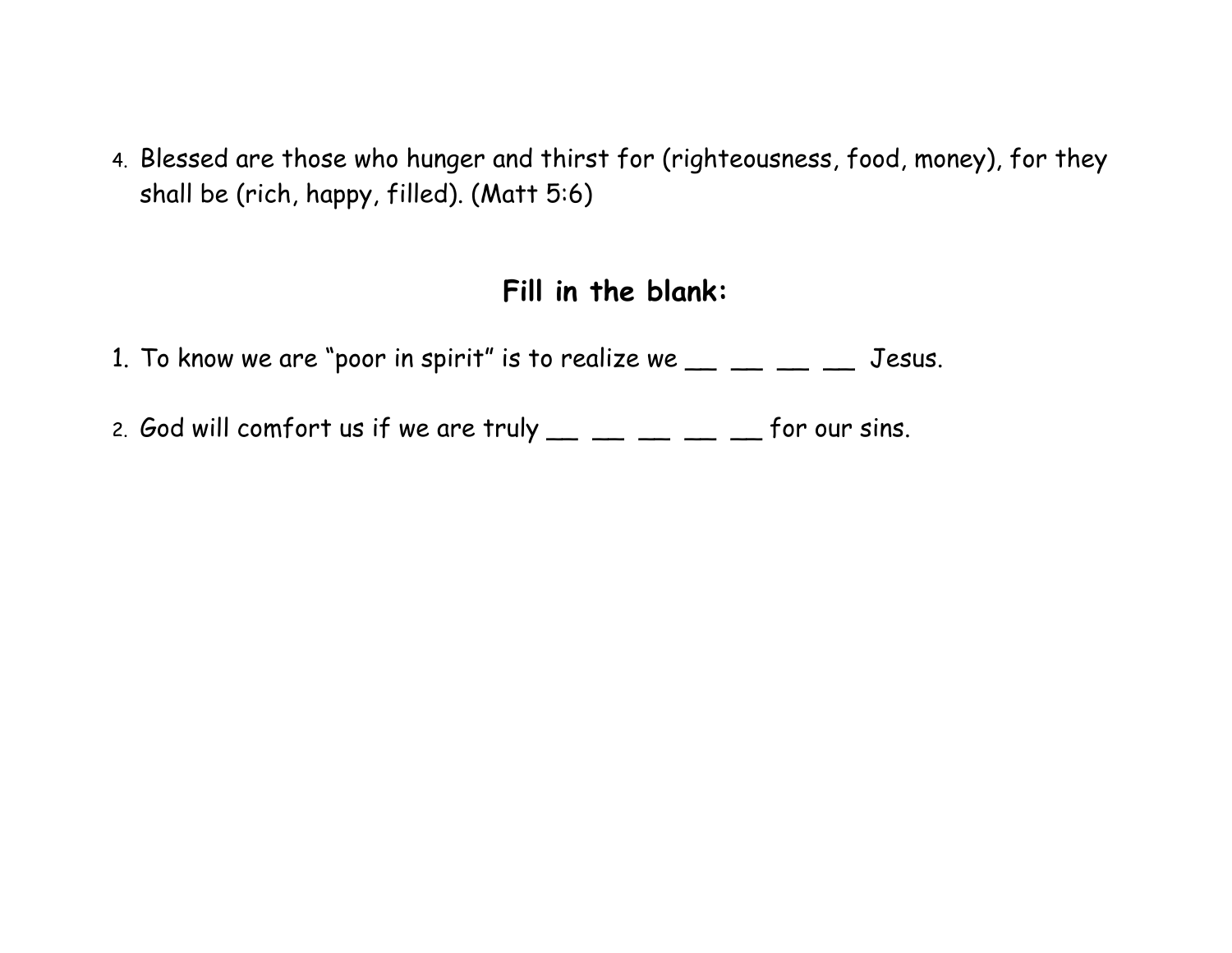4. Blessed are those who hunger and thirst for (righteousness, food, money), for they shall be (rich, happy, filled). (Matt 5:6)

# **Fill in the blank:**

- 1. To know we are "poor in spirit" is to realize we  $\_\_$   $\_\_$   $\_\_$   $\_\_$  Jesus.
- 2. God will comfort us if we are truly  $\_\_\_\_\_\_\_\_\_\_ \_\_$  for our sins.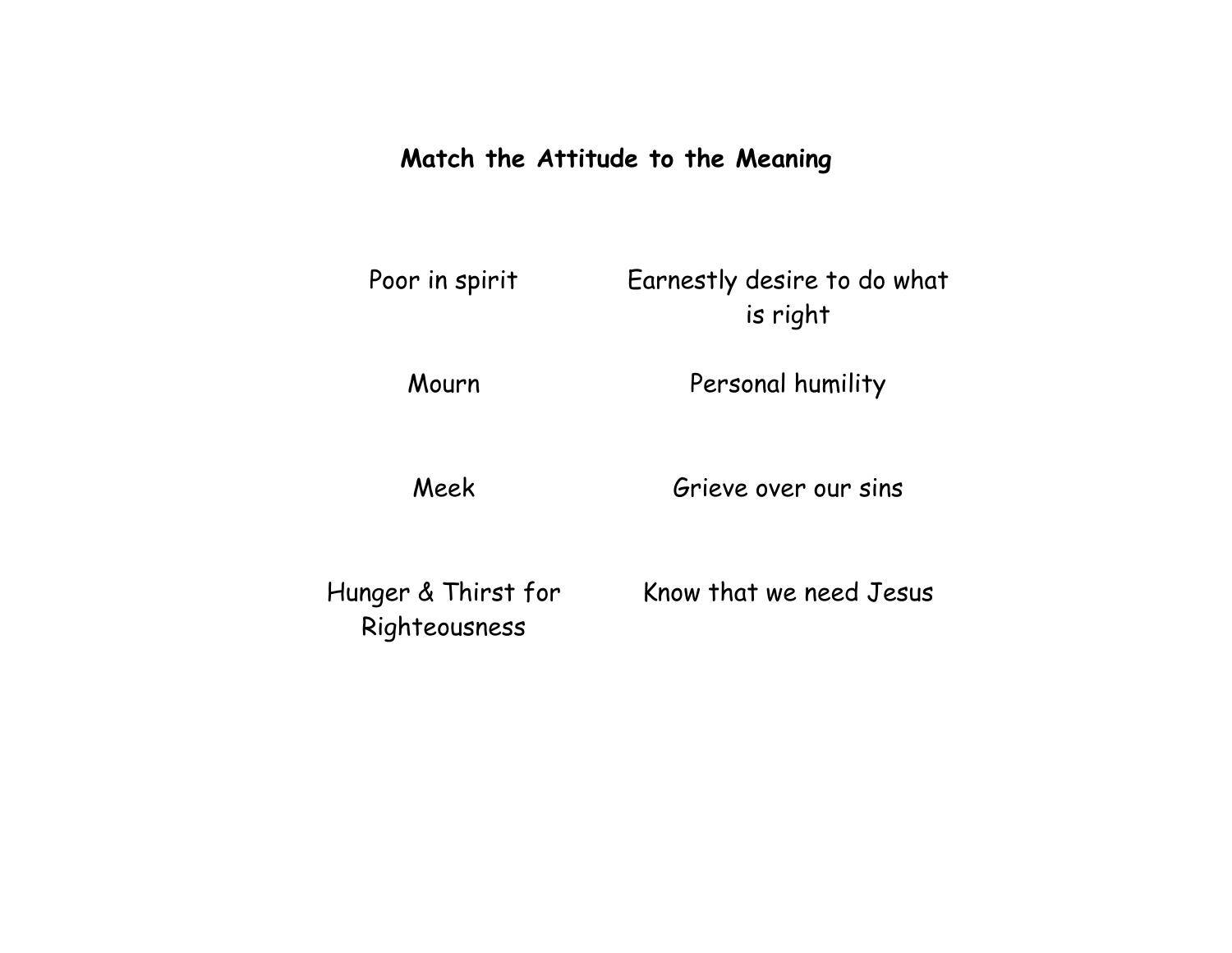# **Match the Attitude to the Meaning**

| Poor in spirit | Earnestly desire to do what |
|----------------|-----------------------------|
|                | is right                    |

Mourn Personal humility

Meek Grieve over our sins

Hunger & Thirst for Righteousness

Know that we need Jesus